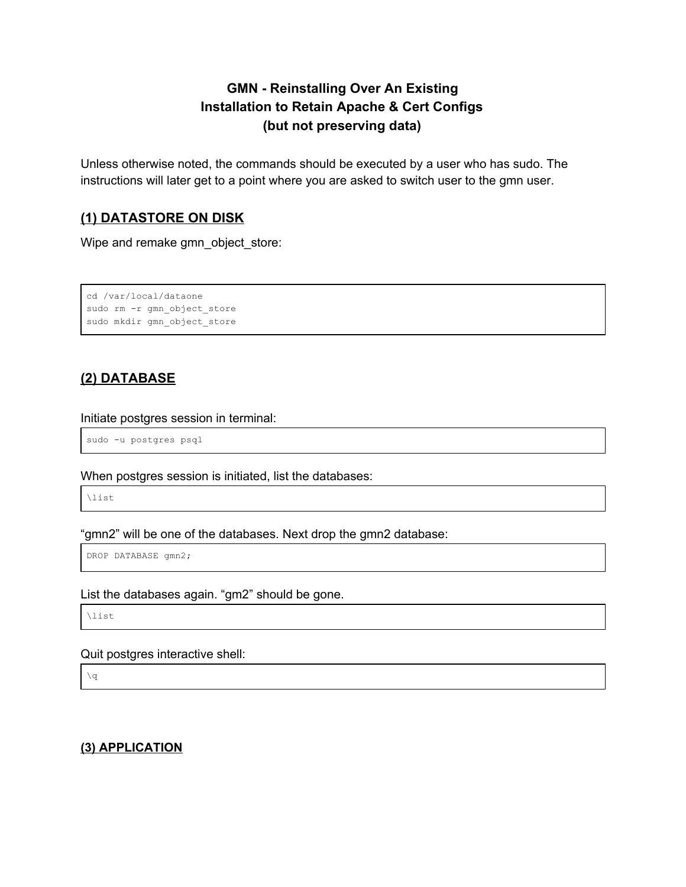# **GMN - Reinstalling Over An Existing Installation to Retain Apache & Cert Configs (but not preserving data)**

Unless otherwise noted, the commands should be executed by a user who has sudo. The instructions will later get to a point where you are asked to switch user to the gmn user.

# **(1) DATASTORE ON DISK**

Wipe and remake gmn\_object\_store:

```
cd /var/local/dataone
sudo rm -r gmn_object_store
sudo mkdir gmn_object_store
```
# **(2) DATABASE**

## Initiate postgres session in terminal:

sudo -u postgres psql

When postgres session is initiated, list the databases:

\list

"gmn2" will be one of the databases. Next drop the gmn2 database:

DROP DATABASE gmn2;

## List the databases again. "gm2" should be gone.

\list

## Quit postgres interactive shell:

 $\qquad \qquad \setminus q$ 

# **(3) APPLICATION**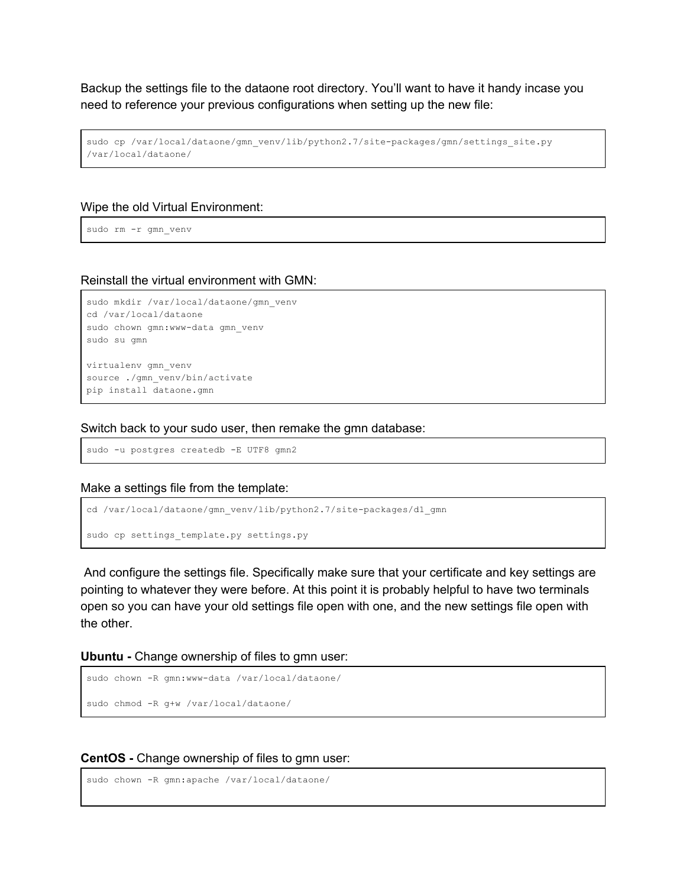Backup the settings file to the dataone root directory. You'll want to have it handy incase you need to reference your previous configurations when setting up the new file:

```
sudo cp /var/local/dataone/gmn_venv/lib/python2.7/site-packages/gmn/settings_site.py
/var/local/dataone/
```
#### Wipe the old Virtual Environment:

sudo rm -r gmn\_venv

#### Reinstall the virtual environment with GMN:

```
sudo mkdir /var/local/dataone/gmn_venv
cd /var/local/dataone
sudo chown gmn:www-data gmn_venv
sudo su gmn
virtualenv gmn_venv
source ./gmn_venv/bin/activate
pip install dataone.gmn
```
#### Switch back to your sudo user, then remake the gmn database:

sudo -u postgres createdb -E UTF8 gmn2

#### Make a settings file from the template:

```
cd /var/local/dataone/gmn_venv/lib/python2.7/site-packages/d1_gmn
sudo cp settings template.py settings.py
```
And configure the settings file. Specifically make sure that your certificate and key settings are pointing to whatever they were before. At this point it is probably helpful to have two terminals open so you can have your old settings file open with one, and the new settings file open with the other.

**Ubuntu -** Change ownership of files to gmn user:

```
sudo chown -R gmn:www-data /var/local/dataone/
sudo chmod -R g+w /var/local/dataone/
```
#### **CentOS -** Change ownership of files to gmn user:

```
sudo chown -R gmn:apache /var/local/dataone/
```